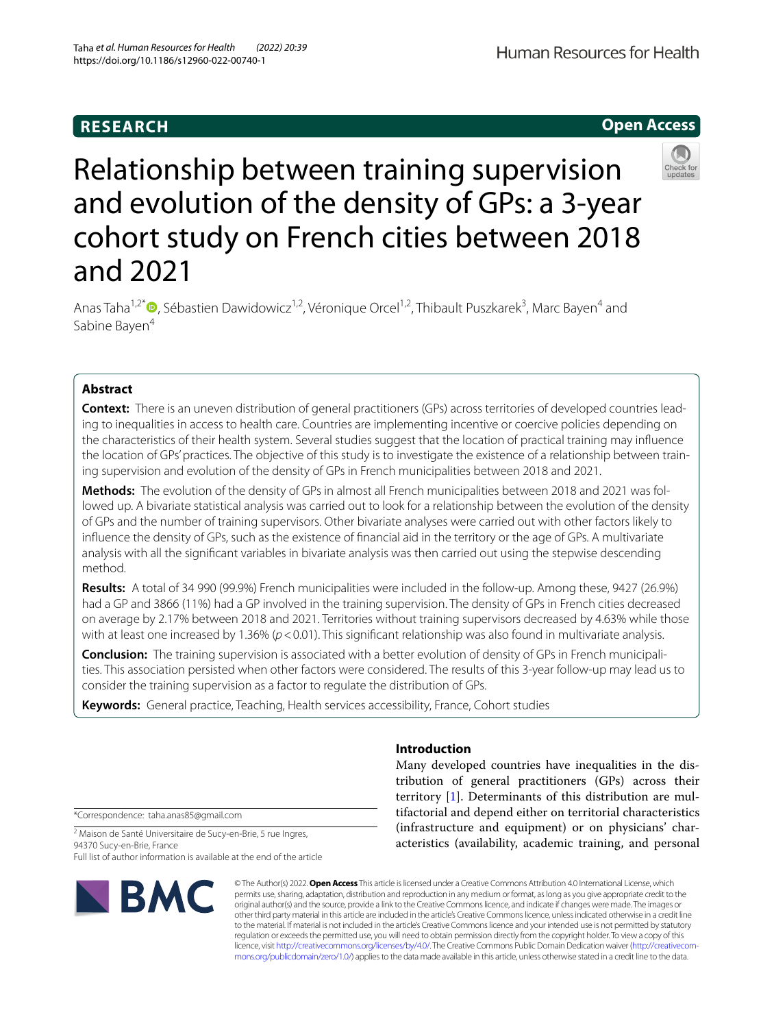# **RESEARCH**

Human Resources for Health

# **Open Access**



# Relationship between training supervision and evolution of the density of GPs: a 3-year cohort study on French cities between 2018 and 2021

Anas Taha<sup>1[,](http://orcid.org/0000-0002-4293-5803)2\*</sup> <sup>O</sup>, Sébastien Dawidowicz<sup>1,2</sup>, Véronique Orcel<sup>1,2</sup>, Thibault Puszkarek<sup>3</sup>, Marc Bayen<sup>4</sup> and Sabine Baven<sup>4</sup>

# **Abstract**

**Context:** There is an uneven distribution of general practitioners (GPs) across territories of developed countries leading to inequalities in access to health care. Countries are implementing incentive or coercive policies depending on the characteristics of their health system. Several studies suggest that the location of practical training may infuence the location of GPs' practices. The objective of this study is to investigate the existence of a relationship between training supervision and evolution of the density of GPs in French municipalities between 2018 and 2021.

**Methods:** The evolution of the density of GPs in almost all French municipalities between 2018 and 2021 was followed up. A bivariate statistical analysis was carried out to look for a relationship between the evolution of the density of GPs and the number of training supervisors. Other bivariate analyses were carried out with other factors likely to infuence the density of GPs, such as the existence of fnancial aid in the territory or the age of GPs. A multivariate analysis with all the signifcant variables in bivariate analysis was then carried out using the stepwise descending method.

**Results:** A total of 34 990 (99.9%) French municipalities were included in the follow-up. Among these, 9427 (26.9%) had a GP and 3866 (11%) had a GP involved in the training supervision. The density of GPs in French cities decreased on average by 2.17% between 2018 and 2021. Territories without training supervisors decreased by 4.63% while those with at least one increased by 1.36% ( $p$  < 0.01). This significant relationship was also found in multivariate analysis.

**Conclusion:** The training supervision is associated with a better evolution of density of GPs in French municipalities. This association persisted when other factors were considered. The results of this 3-year follow-up may lead us to consider the training supervision as a factor to regulate the distribution of GPs.

**Keywords:** General practice, Teaching, Health services accessibility, France, Cohort studies

# **Introduction**

Many developed countries have inequalities in the distribution of general practitioners (GPs) across their territory [\[1](#page-5-0)]. Determinants of this distribution are multifactorial and depend either on territorial characteristics (infrastructure and equipment) or on physicians' characteristics (availability, academic training, and personal

\*Correspondence: taha.anas85@gmail.com

<sup>2</sup> Maison de Santé Universitaire de Sucy-en-Brie, 5 rue Ingres, 94370 Sucy-en-Brie, France

Full list of author information is available at the end of the article



© The Author(s) 2022. **Open Access** This article is licensed under a Creative Commons Attribution 4.0 International License, which permits use, sharing, adaptation, distribution and reproduction in any medium or format, as long as you give appropriate credit to the original author(s) and the source, provide a link to the Creative Commons licence, and indicate if changes were made. The images or other third party material in this article are included in the article's Creative Commons licence, unless indicated otherwise in a credit line to the material. If material is not included in the article's Creative Commons licence and your intended use is not permitted by statutory regulation or exceeds the permitted use, you will need to obtain permission directly from the copyright holder. To view a copy of this licence, visit [http://creativecommons.org/licenses/by/4.0/.](http://creativecommons.org/licenses/by/4.0/) The Creative Commons Public Domain Dedication waiver ([http://creativecom](http://creativecommons.org/publicdomain/zero/1.0/)[mons.org/publicdomain/zero/1.0/\)](http://creativecommons.org/publicdomain/zero/1.0/) applies to the data made available in this article, unless otherwise stated in a credit line to the data.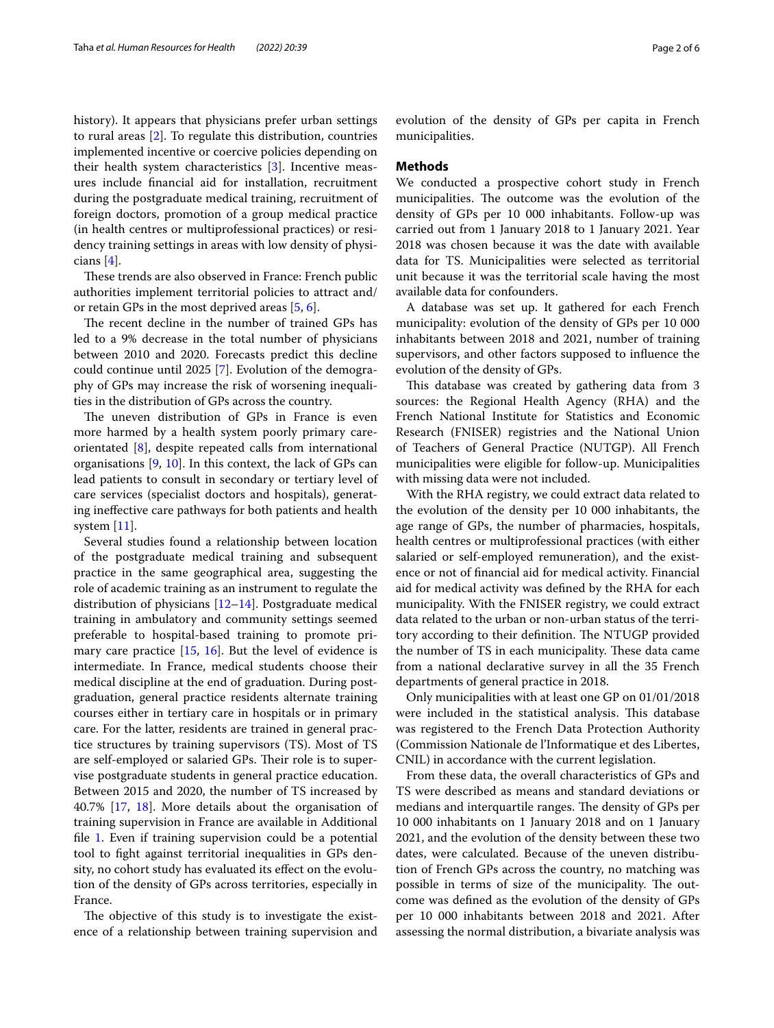history). It appears that physicians prefer urban settings to rural areas [[2\]](#page-5-1). To regulate this distribution, countries implemented incentive or coercive policies depending on their health system characteristics [\[3\]](#page-5-2). Incentive measures include fnancial aid for installation, recruitment during the postgraduate medical training, recruitment of foreign doctors, promotion of a group medical practice (in health centres or multiprofessional practices) or residency training settings in areas with low density of physicians [\[4\]](#page-5-3).

These trends are also observed in France: French public authorities implement territorial policies to attract and/ or retain GPs in the most deprived areas [\[5](#page-5-4), [6\]](#page-5-5).

The recent decline in the number of trained GPs has led to a 9% decrease in the total number of physicians between 2010 and 2020. Forecasts predict this decline could continue until 2025 [[7\]](#page-5-6). Evolution of the demography of GPs may increase the risk of worsening inequalities in the distribution of GPs across the country.

The uneven distribution of GPs in France is even more harmed by a health system poorly primary careorientated [[8\]](#page-5-7), despite repeated calls from international organisations [\[9](#page-5-8), [10](#page-5-9)]. In this context, the lack of GPs can lead patients to consult in secondary or tertiary level of care services (specialist doctors and hospitals), generating inefective care pathways for both patients and health system [\[11](#page-5-10)].

Several studies found a relationship between location of the postgraduate medical training and subsequent practice in the same geographical area, suggesting the role of academic training as an instrument to regulate the distribution of physicians  $[12-14]$  $[12-14]$ . Postgraduate medical training in ambulatory and community settings seemed preferable to hospital-based training to promote primary care practice  $[15, 16]$  $[15, 16]$  $[15, 16]$  $[15, 16]$  $[15, 16]$ . But the level of evidence is intermediate. In France, medical students choose their medical discipline at the end of graduation. During postgraduation, general practice residents alternate training courses either in tertiary care in hospitals or in primary care. For the latter, residents are trained in general practice structures by training supervisors (TS). Most of TS are self-employed or salaried GPs. Their role is to supervise postgraduate students in general practice education. Between 2015 and 2020, the number of TS increased by 40.7% [\[17,](#page-5-15) [18](#page-5-16)]. More details about the organisation of training supervision in France are available in Additional file [1](#page-4-0). Even if training supervision could be a potential tool to fght against territorial inequalities in GPs density, no cohort study has evaluated its effect on the evolution of the density of GPs across territories, especially in France.

The objective of this study is to investigate the existence of a relationship between training supervision and evolution of the density of GPs per capita in French municipalities.

#### **Methods**

We conducted a prospective cohort study in French municipalities. The outcome was the evolution of the density of GPs per 10 000 inhabitants. Follow-up was carried out from 1 January 2018 to 1 January 2021. Year 2018 was chosen because it was the date with available data for TS. Municipalities were selected as territorial unit because it was the territorial scale having the most available data for confounders.

A database was set up. It gathered for each French municipality: evolution of the density of GPs per 10 000 inhabitants between 2018 and 2021, number of training supervisors, and other factors supposed to infuence the evolution of the density of GPs.

This database was created by gathering data from 3 sources: the Regional Health Agency (RHA) and the French National Institute for Statistics and Economic Research (FNISER) registries and the National Union of Teachers of General Practice (NUTGP). All French municipalities were eligible for follow-up. Municipalities with missing data were not included.

With the RHA registry, we could extract data related to the evolution of the density per 10 000 inhabitants, the age range of GPs, the number of pharmacies, hospitals, health centres or multiprofessional practices (with either salaried or self-employed remuneration), and the existence or not of fnancial aid for medical activity. Financial aid for medical activity was defned by the RHA for each municipality. With the FNISER registry, we could extract data related to the urban or non-urban status of the territory according to their definition. The NTUGP provided the number of TS in each municipality. These data came from a national declarative survey in all the 35 French departments of general practice in 2018.

Only municipalities with at least one GP on 01/01/2018 were included in the statistical analysis. This database was registered to the French Data Protection Authority (Commission Nationale de l'Informatique et des Libertes, CNIL) in accordance with the current legislation.

From these data, the overall characteristics of GPs and TS were described as means and standard deviations or medians and interquartile ranges. The density of GPs per 10 000 inhabitants on 1 January 2018 and on 1 January 2021, and the evolution of the density between these two dates, were calculated. Because of the uneven distribution of French GPs across the country, no matching was possible in terms of size of the municipality. The outcome was defned as the evolution of the density of GPs per 10 000 inhabitants between 2018 and 2021. After assessing the normal distribution, a bivariate analysis was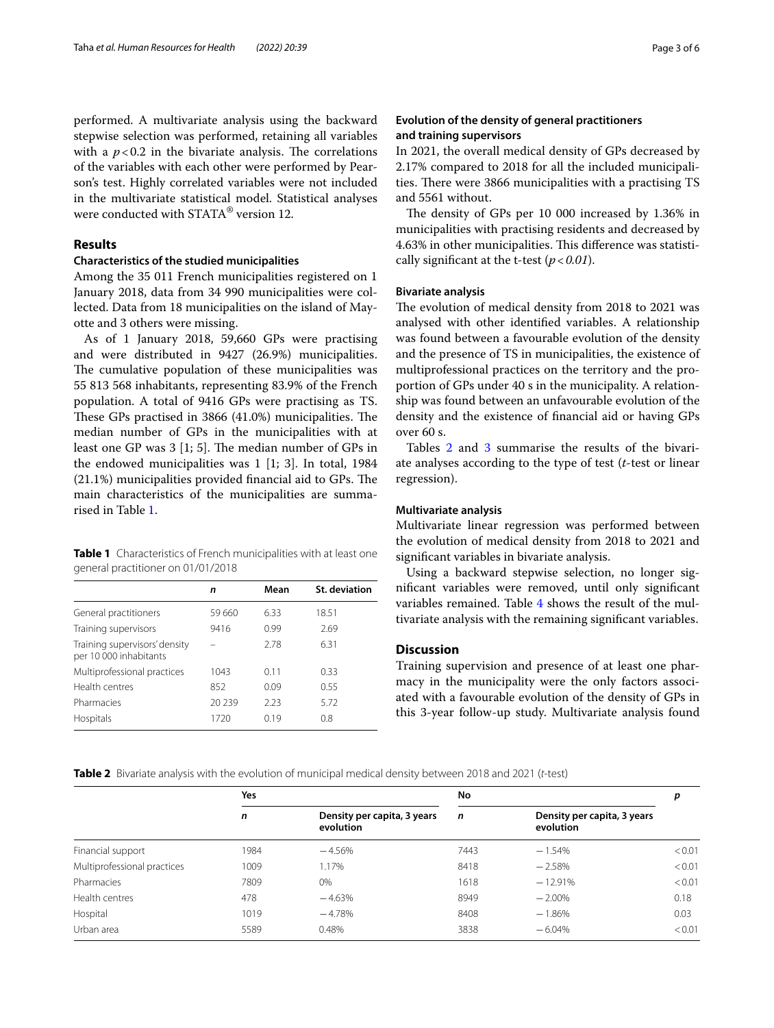performed. A multivariate analysis using the backward stepwise selection was performed, retaining all variables with a  $p < 0.2$  in the bivariate analysis. The correlations of the variables with each other were performed by Pearson's test. Highly correlated variables were not included in the multivariate statistical model. Statistical analyses were conducted with STATA® version 12.

## **Results**

## **Characteristics of the studied municipalities**

Among the 35 011 French municipalities registered on 1 January 2018, data from 34 990 municipalities were collected. Data from 18 municipalities on the island of Mayotte and 3 others were missing.

As of 1 January 2018, 59,660 GPs were practising and were distributed in 9427 (26.9%) municipalities. The cumulative population of these municipalities was 55 813 568 inhabitants, representing 83.9% of the French population. A total of 9416 GPs were practising as TS. These GPs practised in  $3866$  (41.0%) municipalities. The median number of GPs in the municipalities with at least one GP was  $3 \vert 1; 5 \vert$ . The median number of GPs in the endowed municipalities was 1 [1; 3]. In total, 1984  $(21.1\%)$  municipalities provided financial aid to GPs. The main characteristics of the municipalities are summarised in Table [1](#page-2-0).

<span id="page-2-0"></span>

| Table 1 Characteristics of French municipalities with at least one |  |  |  |
|--------------------------------------------------------------------|--|--|--|
| general practitioner on 01/01/2018                                 |  |  |  |

|                                                         | n      | Mean | St. deviation |
|---------------------------------------------------------|--------|------|---------------|
| General practitioners                                   | 59 660 | 6.33 | 18.51         |
| Training supervisors                                    | 9416   | 0.99 | 2.69          |
| Training supervisors' density<br>per 10 000 inhabitants |        | 2.78 | 6.31          |
| Multiprofessional practices                             | 1043   | 0.11 | 0.33          |
| Health centres                                          | 852    | 0.09 | 0.55          |
| Pharmacies                                              | 20239  | 223  | 5.72          |
| Hospitals                                               | 1720   | 019  | 0.8           |

# **Evolution of the density of general practitioners and training supervisors**

In 2021, the overall medical density of GPs decreased by 2.17% compared to 2018 for all the included municipalities. There were 3866 municipalities with a practising TS and 5561 without.

The density of GPs per 10 000 increased by 1.36% in municipalities with practising residents and decreased by 4.63% in other municipalities. This difference was statistically signifcant at the t-test (*p*<*0.01*).

## **Bivariate analysis**

The evolution of medical density from 2018 to 2021 was analysed with other identifed variables. A relationship was found between a favourable evolution of the density and the presence of TS in municipalities, the existence of multiprofessional practices on the territory and the proportion of GPs under 40 s in the municipality. A relationship was found between an unfavourable evolution of the density and the existence of fnancial aid or having GPs over 60 s.

Tables [2](#page-2-1) and [3](#page-3-0) summarise the results of the bivariate analyses according to the type of test (*t*-test or linear regression).

### **Multivariate analysis**

Multivariate linear regression was performed between the evolution of medical density from 2018 to 2021 and signifcant variables in bivariate analysis.

Using a backward stepwise selection, no longer signifcant variables were removed, until only signifcant variables remained. Table [4](#page-3-1) shows the result of the multivariate analysis with the remaining signifcant variables.

## **Discussion**

Training supervision and presence of at least one pharmacy in the municipality were the only factors associated with a favourable evolution of the density of GPs in this 3-year follow-up study. Multivariate analysis found

<span id="page-2-1"></span>**Table 2** Bivariate analysis with the evolution of municipal medical density between 2018 and 2021 (*t*-test)

|                             | Yes  |                                          | No          |                                          |        |
|-----------------------------|------|------------------------------------------|-------------|------------------------------------------|--------|
|                             | n    | Density per capita, 3 years<br>evolution | $\mathbf n$ | Density per capita, 3 years<br>evolution |        |
| Financial support           | 1984 | $-4.56%$                                 | 7443        | $-1.54%$                                 | < 0.01 |
| Multiprofessional practices | 1009 | 1.17%                                    | 8418        | $-2.58%$                                 | < 0.01 |
| Pharmacies                  | 7809 | 0%                                       | 1618        | $-12.91%$                                | < 0.01 |
| Health centres              | 478  | $-4.63%$                                 | 8949        | $-2.00\%$                                | 0.18   |
| Hospital                    | 1019 | $-4.78%$                                 | 8408        | $-1.86%$                                 | 0.03   |
| Urban area                  | 5589 | 0.48%                                    | 3838        | $-6.04%$                                 | < 0.01 |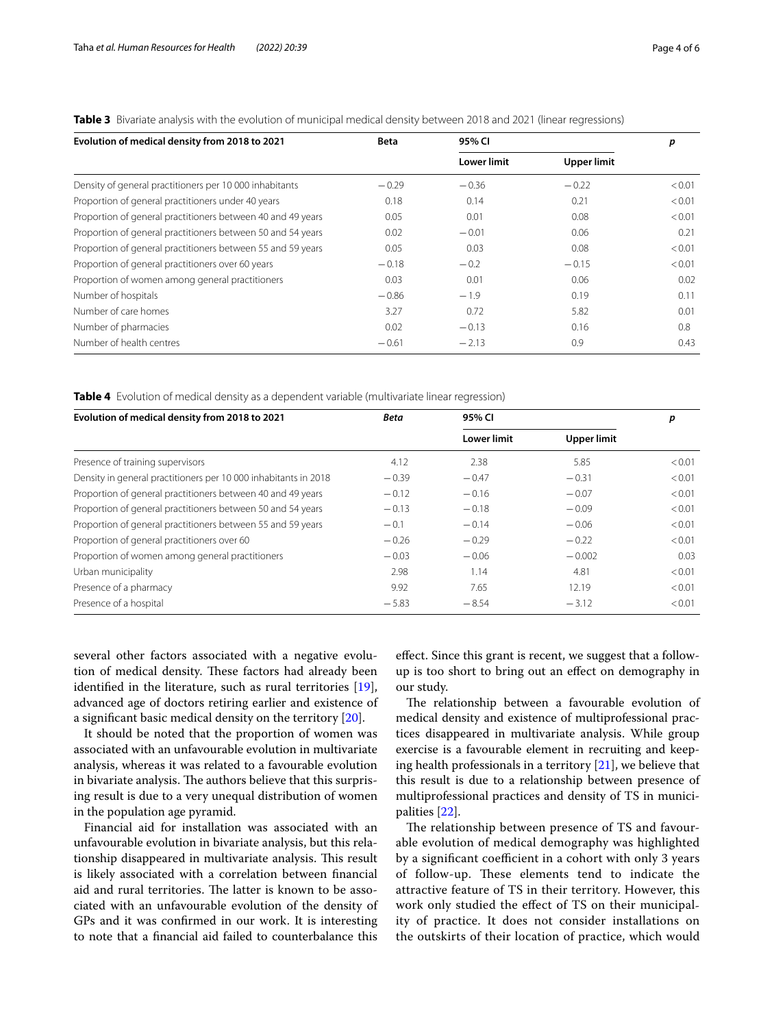| Evolution of medical density from 2018 to 2021              | <b>Beta</b> | 95% CI             |                    | р      |
|-------------------------------------------------------------|-------------|--------------------|--------------------|--------|
|                                                             |             | <b>Lower limit</b> | <b>Upper limit</b> |        |
| Density of general practitioners per 10 000 inhabitants     | $-0.29$     | $-0.36$            | $-0.22$            | < 0.01 |
| Proportion of general practitioners under 40 years          | 0.18        | 0.14               | 0.21               | < 0.01 |
| Proportion of general practitioners between 40 and 49 years | 0.05        | 0.01               | 0.08               | < 0.01 |
| Proportion of general practitioners between 50 and 54 years | 0.02        | $-0.01$            | 0.06               | 0.21   |
| Proportion of general practitioners between 55 and 59 years | 0.05        | 0.03               | 0.08               | < 0.01 |
| Proportion of general practitioners over 60 years           | $-0.18$     | $-0.2$             | $-0.15$            | < 0.01 |
| Proportion of women among general practitioners             | 0.03        | 0.01               | 0.06               | 0.02   |
| Number of hospitals                                         | $-0.86$     | $-1.9$             | 0.19               | 0.11   |
| Number of care homes                                        | 3.27        | 0.72               | 5.82               | 0.01   |
| Number of pharmacies                                        | 0.02        | $-0.13$            | 0.16               | 0.8    |
| Number of health centres                                    | $-0.61$     | $-2.13$            | 0.9                | 0.43   |

<span id="page-3-0"></span>**Table 3** Bivariate analysis with the evolution of municipal medical density between 2018 and 2021 (linear regressions)

<span id="page-3-1"></span>**Table 4** Evolution of medical density as a dependent variable (multivariate linear regression)

| Evolution of medical density from 2018 to 2021                  | <b>Beta</b> | 95% CI             |                    | р      |
|-----------------------------------------------------------------|-------------|--------------------|--------------------|--------|
|                                                                 |             | <b>Lower limit</b> | <b>Upper limit</b> |        |
| Presence of training supervisors                                | 4.12        | 2.38               | 5.85               | < 0.01 |
| Density in general practitioners per 10 000 inhabitants in 2018 | $-0.39$     | $-0.47$            | $-0.31$            | < 0.01 |
| Proportion of general practitioners between 40 and 49 years     | $-0.12$     | $-0.16$            | $-0.07$            | < 0.01 |
| Proportion of general practitioners between 50 and 54 years     | $-0.13$     | $-0.18$            | $-0.09$            | < 0.01 |
| Proportion of general practitioners between 55 and 59 years     | $-0.1$      | $-0.14$            | $-0.06$            | < 0.01 |
| Proportion of general practitioners over 60                     | $-0.26$     | $-0.29$            | $-0.22$            | < 0.01 |
| Proportion of women among general practitioners                 | $-0.03$     | $-0.06$            | $-0.002$           | 0.03   |
| Urban municipality                                              | 2.98        | 1.14               | 4.81               | < 0.01 |
| Presence of a pharmacy                                          | 9.92        | 7.65               | 12.19              | < 0.01 |
| Presence of a hospital                                          | $-5.83$     | $-8.54$            | $-3.12$            | < 0.01 |

several other factors associated with a negative evolution of medical density. These factors had already been identifed in the literature, such as rural territories [\[19](#page-5-17)], advanced age of doctors retiring earlier and existence of a signifcant basic medical density on the territory [[20\]](#page-5-18).

It should be noted that the proportion of women was associated with an unfavourable evolution in multivariate analysis, whereas it was related to a favourable evolution in bivariate analysis. The authors believe that this surprising result is due to a very unequal distribution of women in the population age pyramid.

Financial aid for installation was associated with an unfavourable evolution in bivariate analysis, but this relationship disappeared in multivariate analysis. This result is likely associated with a correlation between fnancial aid and rural territories. The latter is known to be associated with an unfavourable evolution of the density of GPs and it was confrmed in our work. It is interesting to note that a fnancial aid failed to counterbalance this efect. Since this grant is recent, we suggest that a followup is too short to bring out an efect on demography in our study.

The relationship between a favourable evolution of medical density and existence of multiprofessional practices disappeared in multivariate analysis. While group exercise is a favourable element in recruiting and keeping health professionals in a territory [\[21](#page-5-19)], we believe that this result is due to a relationship between presence of multiprofessional practices and density of TS in municipalities [\[22](#page-5-20)].

The relationship between presence of TS and favourable evolution of medical demography was highlighted by a significant coefficient in a cohort with only 3 years of follow-up. These elements tend to indicate the attractive feature of TS in their territory. However, this work only studied the efect of TS on their municipality of practice. It does not consider installations on the outskirts of their location of practice, which would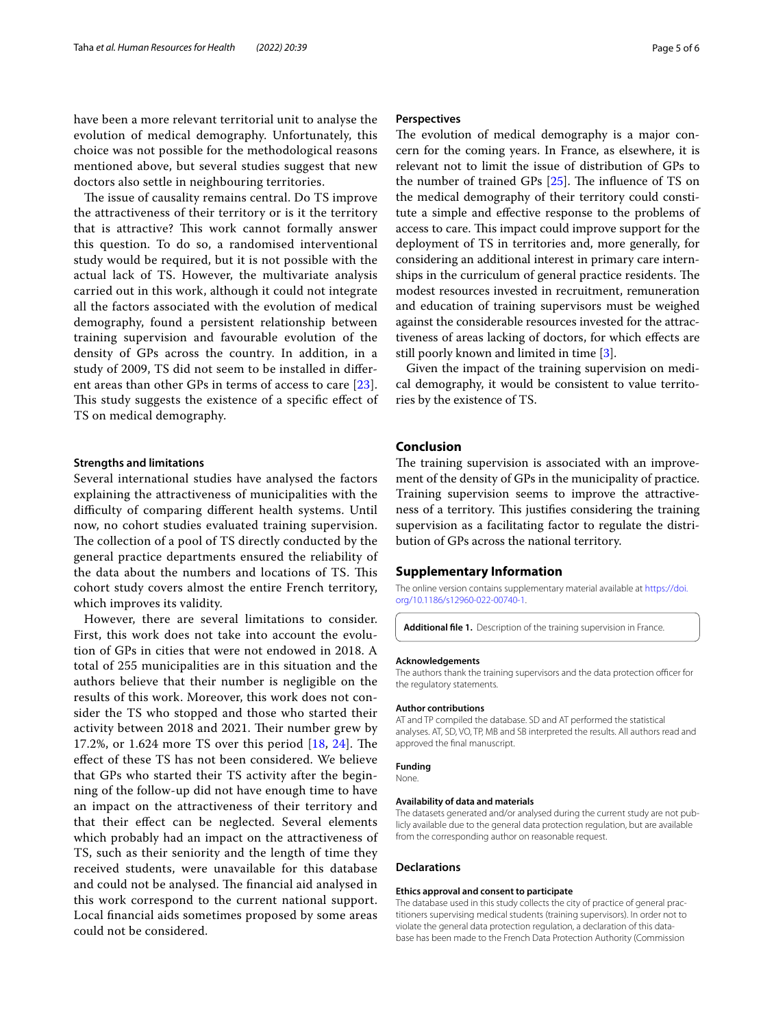have been a more relevant territorial unit to analyse the evolution of medical demography. Unfortunately, this choice was not possible for the methodological reasons mentioned above, but several studies suggest that new doctors also settle in neighbouring territories.

The issue of causality remains central. Do TS improve the attractiveness of their territory or is it the territory that is attractive? This work cannot formally answer this question. To do so, a randomised interventional study would be required, but it is not possible with the actual lack of TS. However, the multivariate analysis carried out in this work, although it could not integrate all the factors associated with the evolution of medical demography, found a persistent relationship between training supervision and favourable evolution of the density of GPs across the country. In addition, in a study of 2009, TS did not seem to be installed in diferent areas than other GPs in terms of access to care [[23](#page-5-21)]. This study suggests the existence of a specific effect of TS on medical demography.

#### **Strengths and limitations**

Several international studies have analysed the factors explaining the attractiveness of municipalities with the difficulty of comparing different health systems. Until now, no cohort studies evaluated training supervision. The collection of a pool of TS directly conducted by the general practice departments ensured the reliability of the data about the numbers and locations of TS. This cohort study covers almost the entire French territory, which improves its validity.

However, there are several limitations to consider. First, this work does not take into account the evolution of GPs in cities that were not endowed in 2018. A total of 255 municipalities are in this situation and the authors believe that their number is negligible on the results of this work. Moreover, this work does not consider the TS who stopped and those who started their activity between 2018 and 2021. Their number grew by 17.2%, or 1.6[24](#page-5-22) more TS over this period  $[18, 24]$  $[18, 24]$ . The efect of these TS has not been considered. We believe that GPs who started their TS activity after the beginning of the follow-up did not have enough time to have an impact on the attractiveness of their territory and that their efect can be neglected. Several elements which probably had an impact on the attractiveness of TS, such as their seniority and the length of time they received students, were unavailable for this database and could not be analysed. The financial aid analysed in this work correspond to the current national support. Local fnancial aids sometimes proposed by some areas could not be considered.

#### **Perspectives**

The evolution of medical demography is a major concern for the coming years. In France, as elsewhere, it is relevant not to limit the issue of distribution of GPs to the number of trained GPs  $[25]$  $[25]$ . The influence of TS on the medical demography of their territory could constitute a simple and efective response to the problems of access to care. This impact could improve support for the deployment of TS in territories and, more generally, for considering an additional interest in primary care internships in the curriculum of general practice residents. The modest resources invested in recruitment, remuneration and education of training supervisors must be weighed against the considerable resources invested for the attractiveness of areas lacking of doctors, for which efects are still poorly known and limited in time [\[3](#page-5-2)].

Given the impact of the training supervision on medical demography, it would be consistent to value territories by the existence of TS.

# **Conclusion**

The training supervision is associated with an improvement of the density of GPs in the municipality of practice. Training supervision seems to improve the attractiveness of a territory. This justifies considering the training supervision as a facilitating factor to regulate the distribution of GPs across the national territory.

#### **Supplementary Information**

The online version contains supplementary material available at [https://doi.](https://doi.org/10.1186/s12960-022-00740-1) [org/10.1186/s12960-022-00740-1](https://doi.org/10.1186/s12960-022-00740-1).

<span id="page-4-0"></span>**Additional fle 1.** Description of the training supervision in France.

#### **Acknowledgements**

The authors thank the training supervisors and the data protection officer for the regulatory statements.

#### **Author contributions**

AT and TP compiled the database. SD and AT performed the statistical analyses. AT, SD, VO, TP, MB and SB interpreted the results. All authors read and approved the fnal manuscript.

#### **Funding**

**None** 

#### **Availability of data and materials**

The datasets generated and/or analysed during the current study are not publicly available due to the general data protection regulation, but are available from the corresponding author on reasonable request.

#### **Declarations**

#### **Ethics approval and consent to participate**

The database used in this study collects the city of practice of general practitioners supervising medical students (training supervisors). In order not to violate the general data protection regulation, a declaration of this database has been made to the French Data Protection Authority (Commission